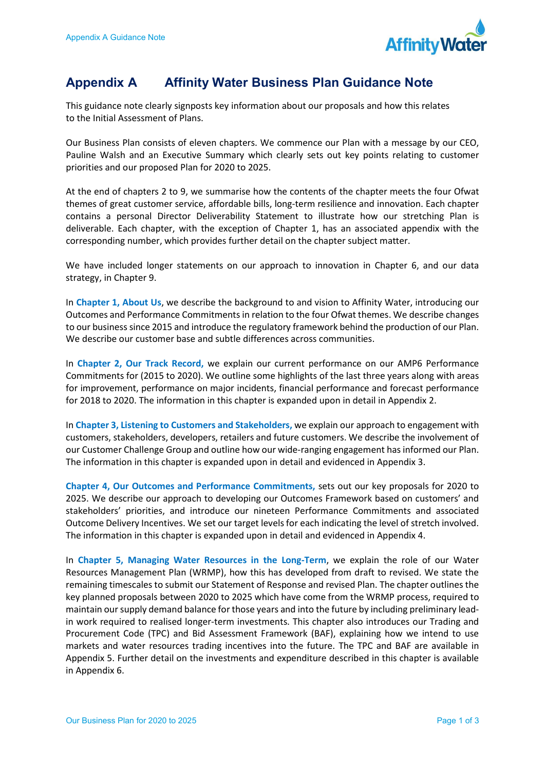

## **Appendix A Affinity Water Business Plan Guidance Note**

 This guidance note clearly signposts key information about our proposals and how this relates to the Initial Assessment of Plans.

 Our Business Plan consists of eleven chapters. We commence our Plan with a message by our CEO, Pauline Walsh and an Executive Summary which clearly sets out key points relating to customer priorities and our proposed Plan for 2020 to 2025.

 At the end of chapters 2 to 9, we summarise how the contents of the chapter meets the four Ofwat themes of great customer service, affordable bills, long-term resilience and innovation. Each chapter contains a personal Director Deliverability Statement to illustrate how our stretching Plan is deliverable. Each chapter, with the exception of Chapter 1, has an associated appendix with the corresponding number, which provides further detail on the chapter subject matter.

 We have included longer statements on our approach to innovation in Chapter 6, and our data strategy, in Chapter 9.

In Chapter 1, About Us, we describe the background to and vision to Affinity Water, introducing our Outcomes and Performance Commitments in relation to the four Ofwat themes. We describe changes to our business since 2015 and introduce the regulatory framework behind the production of our Plan. We describe our customer base and subtle differences across communities.

In Chapter 2, Our Track Record, we explain our current performance on our AMP6 Performance Commitments for (2015 to 2020). We outline some highlights of the last three years along with areas for improvement, performance on major incidents, financial performance and forecast performance for 2018 to 2020. The information in this chapter is expanded upon in detail in Appendix 2.

In Chapter 3, Listening to Customers and Stakeholders, we explain our approach to engagement with customers, stakeholders, developers, retailers and future customers. We describe the involvement of our Customer Challenge Group and outline how our wide-ranging engagement has informed our Plan. The information in this chapter is expanded upon in detail and evidenced in Appendix 3.

Chapter 4, Our Outcomes and Performance Commitments, sets out our key proposals for 2020 to 2025. We describe our approach to developing our Outcomes Framework based on customers' and stakeholders' priorities, and introduce our nineteen Performance Commitments and associated Outcome Delivery Incentives. We set our target levels for each indicating the level of stretch involved. The information in this chapter is expanded upon in detail and evidenced in Appendix 4.

In Chapter 5, Managing Water Resources in the Long-Term, we explain the role of our Water Resources Management Plan (WRMP), how this has developed from draft to revised. We state the remaining timescales to submit our Statement of Response and revised Plan. The chapter outlines the key planned proposals between 2020 to 2025 which have come from the WRMP process, required to maintain our supply demand balance for those years and into the future by including preliminary lead- in work required to realised longer-term investments. This chapter also introduces our Trading and Procurement Code (TPC) and Bid Assessment Framework (BAF), explaining how we intend to use markets and water resources trading incentives into the future. The TPC and BAF are available in Appendix 5. Further detail on the investments and expenditure described in this chapter is available in Appendix 6.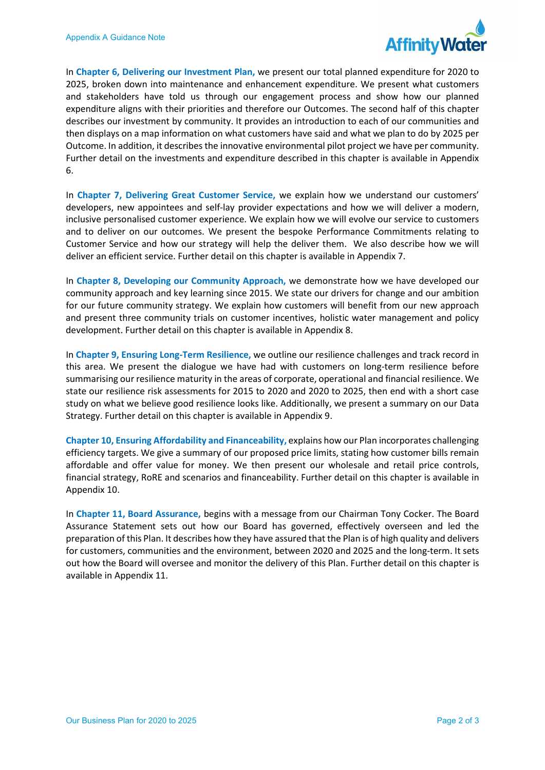

In Chapter 6, Delivering our Investment Plan, we present our total planned expenditure for 2020 to 2025, broken down into maintenance and enhancement expenditure. We present what customers and stakeholders have told us through our engagement process and show how our planned expenditure aligns with their priorities and therefore our Outcomes. The second half of this chapter describes our investment by community. It provides an introduction to each of our communities and then displays on a map information on what customers have said and what we plan to do by 2025 per Outcome. In addition, it describes the innovative environmental pilot project we have per community. Further detail on the investments and expenditure described in this chapter is available in Appendix 6.

In Chapter 7, Delivering Great Customer Service, we explain how we understand our customers' developers, new appointees and self-lay provider expectations and how we will deliver a modern, inclusive personalised customer experience. We explain how we will evolve our service to customers and to deliver on our outcomes. We present the bespoke Performance Commitments relating to Customer Service and how our strategy will help the deliver them. We also describe how we will deliver an efficient service. Further detail on this chapter is available in Appendix 7.

In Chapter 8, Developing our Community Approach, we demonstrate how we have developed our community approach and key learning since 2015. We state our drivers for change and our ambition for our future community strategy. We explain how customers will benefit from our new approach and present three community trials on customer incentives, holistic water management and policy development. Further detail on this chapter is available in Appendix 8.

In Chapter 9, Ensuring Long-Term Resilience, we outline our resilience challenges and track record in this area. We present the dialogue we have had with customers on long-term resilience before summarising our resilience maturity in the areas of corporate, operational and financial resilience. We state our resilience risk assessments for 2015 to 2020 and 2020 to 2025, then end with a short case study on what we believe good resilience looks like. Additionally, we present a summary on our Data Strategy. Further detail on this chapter is available in Appendix 9.

Chapter 10, Ensuring Affordability and Financeability, explains how our Plan incorporates challenging efficiency targets. We give a summary of our proposed price limits, stating how customer bills remain affordable and offer value for money. We then present our wholesale and retail price controls, financial strategy, RoRE and scenarios and financeability. Further detail on this chapter is available in Appendix 10.

In Chapter 11, Board Assurance, begins with a message from our Chairman Tony Cocker. The Board Assurance Statement sets out how our Board has governed, effectively overseen and led the preparation of this Plan. It describes how they have assured that the Plan is of high quality and delivers for customers, communities and the environment, between 2020 and 2025 and the long-term. It sets out how the Board will oversee and monitor the delivery of this Plan. Further detail on this chapter is available in Appendix 11.